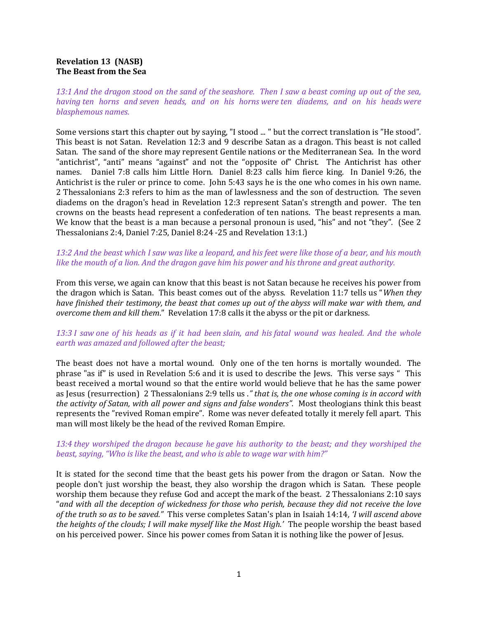# Revelation 13 (NASB) The Beast from the Sea

13:1 And the dragon stood on the sand of the seashore. Then I saw a beast coming up out of the sea, having ten horns and seven heads, and on his horns were ten diadems, and on his heads were blasphemous names.

Some versions start this chapter out by saying, "I stood ... " but the correct translation is "He stood". This beast is not Satan. Revelation 12:3 and 9 describe Satan as a dragon. This beast is not called Satan. The sand of the shore may represent Gentile nations or the Mediterranean Sea. In the word "antichrist", "anti" means "against" and not the "opposite of" Christ. The Antichrist has other names. Daniel 7:8 calls him Little Horn. Daniel 8:23 calls him fierce king. In Daniel 9:26, the Antichrist is the ruler or prince to come. John 5:43 says he is the one who comes in his own name. 2 Thessalonians 2:3 refers to him as the man of lawlessness and the son of destruction. The seven diadems on the dragon's head in Revelation 12:3 represent Satan's strength and power. The ten crowns on the beasts head represent a confederation of ten nations. The beast represents a man. We know that the beast is a man because a personal pronoun is used, "his" and not "they". (See 2) Thessalonians 2:4, Daniel 7:25, Daniel 8:24 -25 and Revelation 13:1.)

13:2 And the beast which I saw was like a leopard, and his feet were like those of a bear, and his mouth like the mouth of a lion. And the dragon gave him his power and his throne and great authority.

From this verse, we again can know that this beast is not Satan because he receives his power from the dragon which is Satan. This beast comes out of the abyss. Revelation 11:7 tells us "When they have finished their testimony, the beast that comes up out of the abyss will make war with them, and overcome them and kill them." Revelation 17:8 calls it the abyss or the pit or darkness.

# 13:3 I saw one of his heads as if it had been slain, and his fatal wound was healed. And the whole earth was amazed and followed after the beast;

The beast does not have a mortal wound. Only one of the ten horns is mortally wounded. The phrase "as if" is used in Revelation 5:6 and it is used to describe the Jews. This verse says " This beast received a mortal wound so that the entire world would believe that he has the same power as Jesus (resurrection) 2 Thessalonians 2:9 tells us ." that is, the one whose coming is in accord with the activity of Satan, with all power and signs and false wonders". Most theologians think this beast represents the "revived Roman empire". Rome was never defeated totally it merely fell apart. This man will most likely be the head of the revived Roman Empire.

### 13:4 they worshiped the dragon because he gave his authority to the beast; and they worshiped the beast, saying, "Who is like the beast, and who is able to wage war with him?"

It is stated for the second time that the beast gets his power from the dragon or Satan. Now the people don't just worship the beast, they also worship the dragon which is Satan. These people worship them because they refuse God and accept the mark of the beast. 2 Thessalonians 2:10 says "and with all the deception of wickedness for those who perish, because they did not receive the love of the truth so as to be saved." This verse completes Satan's plan in Isaiah 14:14, 'I will ascend above the heights of the clouds; I will make myself like the Most High.' The people worship the beast based on his perceived power. Since his power comes from Satan it is nothing like the power of Jesus.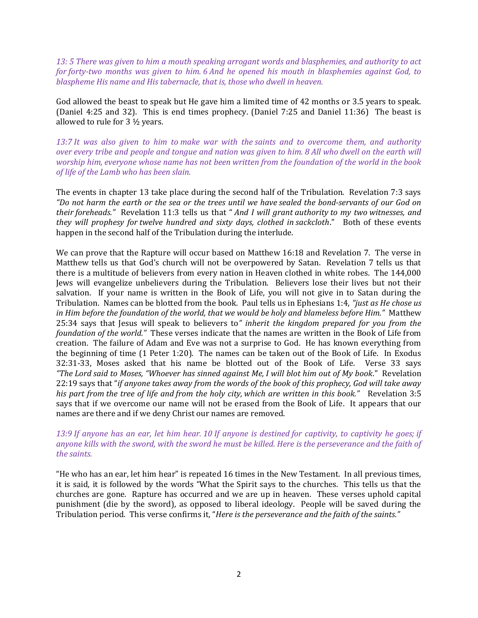13: 5 There was given to him a mouth speaking arrogant words and blasphemies, and authority to act for forty-two months was given to him. 6 And he opened his mouth in blasphemies against God, to blaspheme His name and His tabernacle, that is, those who dwell in heaven.

God allowed the beast to speak but He gave him a limited time of 42 months or 3.5 years to speak. (Daniel 4:25 and 32). This is end times prophecy. (Daniel 7:25 and Daniel 11:36) The beast is allowed to rule for 3 ½ years.

13:7 It was also given to him to make war with the saints and to overcome them, and authority over every tribe and people and tongue and nation was given to him. 8 All who dwell on the earth will worship him, everyone whose name has not been written from the foundation of the world in the book of life of the Lamb who has been slain.

The events in chapter 13 take place during the second half of the Tribulation. Revelation 7:3 says "Do not harm the earth or the sea or the trees until we have sealed the bond-servants of our God on their foreheads." Revelation 11:3 tells us that " And I will grant authority to my two witnesses, and they will prophesy for twelve hundred and sixty days, clothed in sackcloth." Both of these events happen in the second half of the Tribulation during the interlude.

We can prove that the Rapture will occur based on Matthew 16:18 and Revelation 7. The verse in Matthew tells us that God's church will not be overpowered by Satan. Revelation 7 tells us that there is a multitude of believers from every nation in Heaven clothed in white robes. The 144,000 Jews will evangelize unbelievers during the Tribulation. Believers lose their lives but not their salvation. If your name is written in the Book of Life, you will not give in to Satan during the Tribulation. Names can be blotted from the book. Paul tells us in Ephesians 1:4, "*just as He chose us* in Him before the foundation of the world, that we would be holy and blameless before Him." Matthew 25:34 says that Jesus will speak to believers to" inherit the kingdom prepared for you from the foundation of the world." These verses indicate that the names are written in the Book of Life from creation. The failure of Adam and Eve was not a surprise to God. He has known everything from the beginning of time (1 Peter 1:20). The names can be taken out of the Book of Life. In Exodus 32:31-33, Moses asked that his name be blotted out of the Book of Life. Verse 33 says "The Lord said to Moses, "Whoever has sinned against Me, I will blot him out of My book." Revelation 22:19 says that "if anyone takes away from the words of the book of this prophecy, God will take away his part from the tree of life and from the holy city, which are written in this book." Revelation 3:5 says that if we overcome our name will not be erased from the Book of Life. It appears that our names are there and if we deny Christ our names are removed.

# 13:9 If anyone has an ear, let him hear. 10 If anyone is destined for captivity, to captivity he goes; if anyone kills with the sword, with the sword he must be killed. Here is the perseverance and the faith of the saints.

"He who has an ear, let him hear" is repeated 16 times in the New Testament. In all previous times, it is said, it is followed by the words "What the Spirit says to the churches. This tells us that the churches are gone. Rapture has occurred and we are up in heaven. These verses uphold capital punishment (die by the sword), as opposed to liberal ideology. People will be saved during the Tribulation period. This verse confirms it, "Here is the perseverance and the faith of the saints."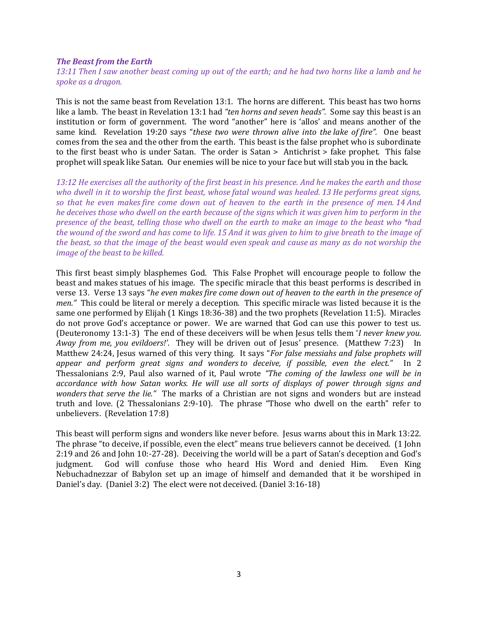#### The Beast from the Earth

13:11 Then I saw another beast coming up out of the earth; and he had two horns like a lamb and he spoke as a dragon.

This is not the same beast from Revelation 13:1. The horns are different. This beast has two horns like a lamb. The beast in Revelation 13:1 had "ten horns and seven heads". Some say this beast is an institution or form of government. The word "another" here is 'allos' and means another of the same kind. Revelation 19:20 says "these two were thrown alive into the lake of fire". One beast comes from the sea and the other from the earth. This beast is the false prophet who is subordinate to the first beast who is under Satan. The order is Satan > Antichrist > fake prophet. This false prophet will speak like Satan. Our enemies will be nice to your face but will stab you in the back.

13:12 He exercises all the authority of the first beast in his presence. And he makes the earth and those who dwell in it to worship the first beast, whose fatal wound was healed. 13 He performs great signs, so that he even makes fire come down out of heaven to the earth in the presence of men. 14 And he deceives those who dwell on the earth because of the signs which it was given him to perform in the presence of the beast, telling those who dwell on the earth to make an image to the beast who \*had the wound of the sword and has come to life. 15 And it was given to him to give breath to the image of the beast, so that the image of the beast would even speak and cause as many as do not worship the image of the beast to be killed.

This first beast simply blasphemes God. This False Prophet will encourage people to follow the beast and makes statues of his image. The specific miracle that this beast performs is described in verse 13. Verse 13 says "he even makes fire come down out of heaven to the earth in the presence of men." This could be literal or merely a deception. This specific miracle was listed because it is the same one performed by Elijah (1 Kings 18:36-38) and the two prophets (Revelation 11:5). Miracles do not prove God's acceptance or power. We are warned that God can use this power to test us. (Deuteronomy 13:1-3) The end of these deceivers will be when Jesus tells them 'I never knew you. Away from me, you evildoers!'. They will be driven out of Jesus' presence. (Matthew 7:23) In Matthew 24:24, Jesus warned of this very thing. It says "For false messiahs and false prophets will appear and perform great signs and wonders to deceive, if possible, even the elect." In 2 Thessalonians 2:9, Paul also warned of it, Paul wrote "The coming of the lawless one will be in accordance with how Satan works. He will use all sorts of displays of power through signs and wonders that serve the lie." The marks of a Christian are not signs and wonders but are instead truth and love. (2 Thessalonians 2:9-10). The phrase "Those who dwell on the earth" refer to unbelievers. (Revelation 17:8)

This beast will perform signs and wonders like never before. Jesus warns about this in Mark 13:22. The phrase "to deceive, if possible, even the elect" means true believers cannot be deceived. (1 John 2:19 and 26 and John 10:-27-28). Deceiving the world will be a part of Satan's deception and God's judgment. God will confuse those who heard His Word and denied Him. Even King Nebuchadnezzar of Babylon set up an image of himself and demanded that it be worshiped in Daniel's day. (Daniel 3:2) The elect were not deceived. (Daniel 3:16-18)